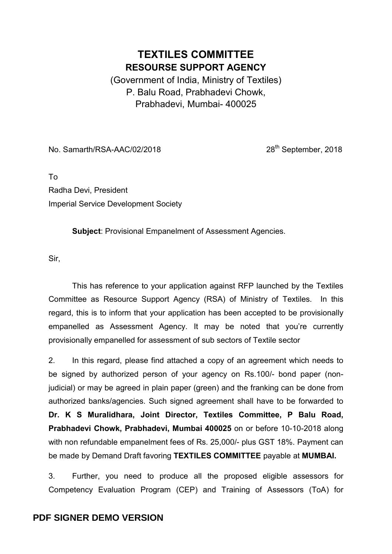## TEXTILES COMMITTEE RESOURSE SUPPORT AGENCY

(Government of India, Ministry of Textiles) P. Balu Road, Prabhadevi Chowk, Prabhadevi, Mumbai- 400025

No. Samarth/RSA-AAC/02/2018 28<sup>th</sup> September, 2018

To Radha Devi, President Imperial Service Development Society

Subject: Provisional Empanelment of Assessment Agencies.

Sir,

 This has reference to your application against RFP launched by the Textiles Committee as Resource Support Agency (RSA) of Ministry of Textiles. In this regard, this is to inform that your application has been accepted to be provisionally empanelled as Assessment Agency. It may be noted that you're currently provisionally empanelled for assessment of sub sectors of Textile sector

2. In this regard, please find attached a copy of an agreement which needs to be signed by authorized person of your agency on Rs.100/- bond paper (nonjudicial) or may be agreed in plain paper (green) and the franking can be done from authorized banks/agencies. Such signed agreement shall have to be forwarded to Dr. K S Muralidhara, Joint Director, Textiles Committee, P Balu Road, Prabhadevi Chowk, Prabhadevi, Mumbai 400025 on or before 10-10-2018 along with non refundable empanelment fees of Rs. 25,000/- plus GST 18%. Payment can be made by Demand Draft favoring TEXTILES COMMITTEE payable at MUMBAI.

3. Further, you need to produce all the proposed eligible assessors for Competency Evaluation Program (CEP) and Training of Assessors (ToA) for

## **PDF SIGNER DEMO VERSION**